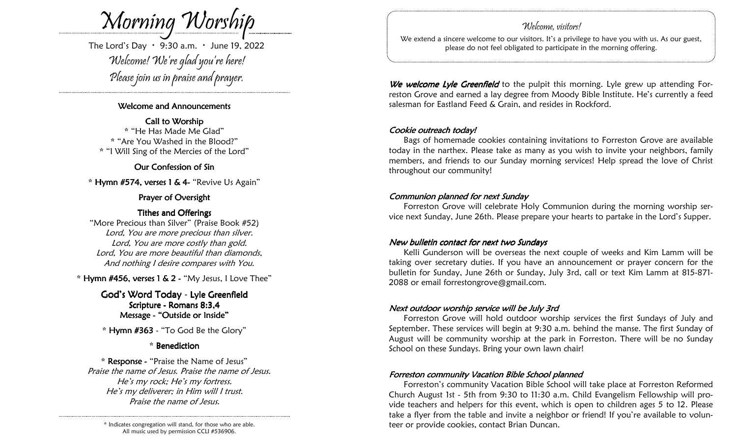Morning Worship

The Lord's Day **·** 9:30 a.m. **·** June 19, 2022 Welcome! We're glad you're here! Please join us in praise and prayer.

#### Welcome and Announcements

#### **Call to Worship**

 \* "He Has Made Me Glad" \* "Are You Washed in the Blood?" \* "I Will Sing of the Mercies of the Lord"

#### Our Confession of Sin

 $*$  **Hymn #574, verses 1 & 4-** "Revive Us Again"

#### Prayer of Oversight

#### Tithes and Offerings

 "More Precious than Silver" (Praise Book #52) Lord, You are more precious than silver. Lord, You are more costly than gold. Lord, You are more beautiful than diamonds, And nothing I desire compares with You.

 $*$  Hymn #456, verses 1 & 2 - "My Jesus, I Love Thee"

## God's Word Today - Lyle Greenfield Scripture - Romans 8:3,4 Message - "Outside or Inside"

 $*$  Hymn  $#363 - "To God Be the Glory"$ 

# $*$  Benediction

\* Response - "Praise the Name of Jesus" Praise the name of Jesus. Praise the name of Jesus.He's my rock; He's my fortress. He's my deliverer; in Him will I trust. Praise the name of Jesus.

\* Indicates congregation will stand, for those who are able. All music used by permission CCLI #536906.

## Welcome, visitors!

We extend a sincere welcome to our visitors. It's a privilege to have you with us. As our guest, please do not feel obligated to participate in the morning offering.

We welcome Lyle Greenfield to the pulpit this morning. Lyle grew up attending Forreston Grove and earned a lay degree from Moody Bible Institute. He's currently a feed salesman for Eastland Feed & Grain, and resides in Rockford.

#### Cookie outreach today!

 Bags of homemade cookies containing invitations to Forreston Grove are available today in the narthex. Please take as many as you wish to invite your neighbors, family members, and friends to our Sunday morning services! Help spread the love of Christ throughout our community!

#### Communion planned for next Sunday

 Forreston Grove will celebrate Holy Communion during the morning worship service next Sunday, June 26th. Please prepare your hearts to partake in the Lord's Supper.

#### New bulletin contact for next two Sundays

 Kelli Gunderson will be overseas the next couple of weeks and Kim Lamm will be taking over secretary duties. If you have an announcement or prayer concern for the bulletin for Sunday, June 26th or Sunday, July 3rd, call or text Kim Lamm at 815-871-2088 or email forrestongrove@gmail.com.

#### Next outdoor worship service will be July 3rd

 Forreston Grove will hold outdoor worship services the first Sundays of July and September. These services will begin at 9:30 a.m. behind the manse. The first Sunday of August will be community worship at the park in Forreston. There will be no Sunday School on these Sundays. Bring your own lawn chair!

#### Forreston community Vacation Bible School planned

 Forreston's community Vacation Bible School will take place at Forreston Reformed Church August 1st - 5th from 9:30 to 11:30 a.m. Child Evangelism Fellowship will provide teachers and helpers for this event, which is open to children ages 5 to 12. Please take a flyer from the table and invite a neighbor or friend! If you're available to volunteer or provide cookies, contact Brian Duncan.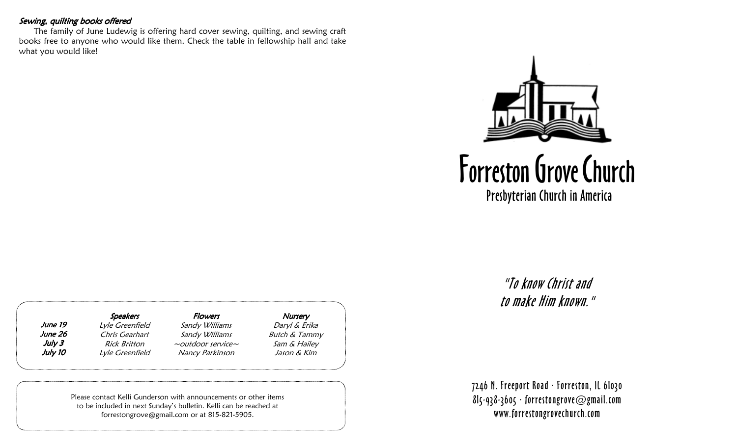#### Sewing, quilting books offered

 The family of June Ludewig is offering hard cover sewing, quilting, and sewing craft books free to anyone who would like them. Check the table in fellowship hall and take what you would like!



# Forreston Grove Church

Presbyterian Church in America

"To know Christ and to make Him known."

7246 N. Freeport Road · Forreston, IL 6l030 8l5-938-3605 · forrestongrove@gmail.com www.forrestongrovechurch.com

#### June 19 June 26 July 3July 10

Nancy Parkinson Speakers Lyle Greenfield Chris Gearhart Rick Britton Lyle Greenfield

**Flowers**  Sandy Williams Sandy Williams  $\sim$ outdoor service $\sim$ 

**Nursery**  Daryl & Erika Butch & Tammy Sam & Hailey Jason & Kim

Please contact Kelli Gunderson with announcements or other items to be included in next Sunday's bulletin. Kelli can be reached at forrestongrove@gmail.com or at 815-821-5905.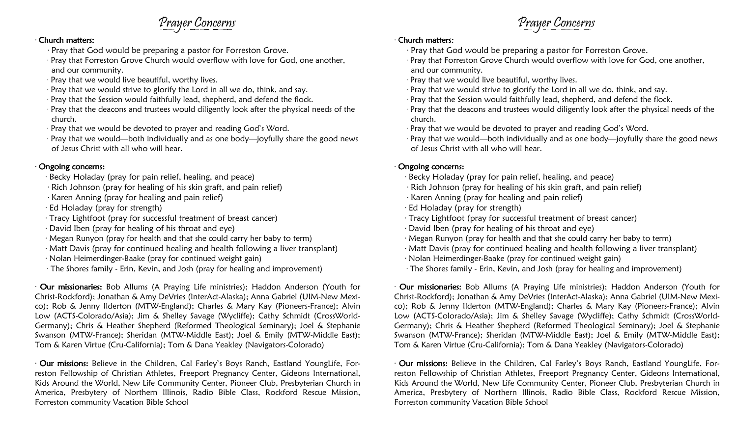# Prayer Concerns

#### $\cdot$  Church matters:

· Pray that God would be preparing a pastor for Forreston Grove.

 · Pray that Forreston Grove Church would overflow with love for God, one another, and our community.

· Pray that we would live beautiful, worthy lives.

· Pray that we would strive to glorify the Lord in all we do, think, and say.

· Pray that the Session would faithfully lead, shepherd, and defend the flock.

 · Pray that the deacons and trustees would diligently look after the physical needs of the church.

· Pray that we would be devoted to prayer and reading God's Word.

 · Pray that we would—both individually and as one body—joyfully share the good news of Jesus Christ with all who will hear.

#### $\cdot$  Ongoing concerns:

- · Becky Holaday (pray for pain relief, healing, and peace)
- · Rich Johnson (pray for healing of his skin graft, and pain relief)
	- · Karen Anning (pray for healing and pain relief)
	- · Ed Holaday (pray for strength)
- · Tracy Lightfoot (pray for successful treatment of breast cancer)
	- · David Iben (pray for healing of his throat and eye)
- · Megan Runyon (pray for health and that she could carry her baby to term)
- · Matt Davis (pray for continued healing and health following a liver transplant)
	- · Nolan Heimerdinger-Baake (pray for continued weight gain)
	- · The Shores family Erin, Kevin, and Josh (pray for healing and improvement)

 $\cdot$  **Our missionaries:** Bob Allums (A Praying Life ministries); Haddon Anderson (Youth for Christ-Rockford); Jonathan & Amy DeVries (InterAct-Alaska); Anna Gabriel (UIM-New Mexico); Rob & Jenny Ilderton (MTW-England); Charles & Mary Kay (Pioneers-France); Alvin Low (ACTS-Colorado/Asia); Jim & Shelley Savage (Wycliffe); Cathy Schmidt (CrossWorld-Germany); Chris & Heather Shepherd (Reformed Theological Seminary); Joel & Stephanie Swanson (MTW-France); Sheridan (MTW-Middle East); Joel & Emily (MTW-Middle East); Tom & Karen Virtue (Cru-California); Tom & Dana Yeakley (Navigators-Colorado)

· Our missions: Believe in the Children, Cal Farley's Boys Ranch, Eastland YoungLife, Forreston Fellowship of Christian Athletes, Freeport Pregnancy Center, Gideons International, Kids Around the World, New Life Community Center, Pioneer Club, Presbyterian Church in America, Presbytery of Northern Illinois, Radio Bible Class, Rockford Rescue Mission, Forreston community Vacation Bible School

# Prayer Concerns

#### $\cdot$  Church matters:

· Pray that God would be preparing a pastor for Forreston Grove.

 · Pray that Forreston Grove Church would overflow with love for God, one another, and our community.

· Pray that we would live beautiful, worthy lives.

· Pray that we would strive to glorify the Lord in all we do, think, and say.

· Pray that the Session would faithfully lead, shepherd, and defend the flock.

 · Pray that the deacons and trustees would diligently look after the physical needs of the church.

· Pray that we would be devoted to prayer and reading God's Word.

 · Pray that we would—both individually and as one body—joyfully share the good news of Jesus Christ with all who will hear.

## $\cdot$  Ongoing concerns:

- · Becky Holaday (pray for pain relief, healing, and peace)
- · Rich Johnson (pray for healing of his skin graft, and pain relief)
	- · Karen Anning (pray for healing and pain relief)
	- · Ed Holaday (pray for strength)
- · Tracy Lightfoot (pray for successful treatment of breast cancer)
	- · David Iben (pray for healing of his throat and eye)
- · Megan Runyon (pray for health and that she could carry her baby to term)
- · Matt Davis (pray for continued healing and health following a liver transplant)
	- · Nolan Heimerdinger-Baake (pray for continued weight gain)
	- · The Shores family Erin, Kevin, and Josh (pray for healing and improvement)

 $\cdot$  **Our missionaries:** Bob Allums (A Praying Life ministries); Haddon Anderson (Youth for Christ-Rockford); Jonathan & Amy DeVries (InterAct-Alaska); Anna Gabriel (UIM-New Mexico); Rob & Jenny Ilderton (MTW-England); Charles & Mary Kay (Pioneers-France); Alvin Low (ACTS-Colorado/Asia); Jim & Shelley Savage (Wycliffe); Cathy Schmidt (CrossWorld-Germany); Chris & Heather Shepherd (Reformed Theological Seminary); Joel & Stephanie Swanson (MTW-France); Sheridan (MTW-Middle East); Joel & Emily (MTW-Middle East); Tom & Karen Virtue (Cru-California); Tom & Dana Yeakley (Navigators-Colorado)

 $\cdot$  **Our missions:** Believe in the Children, Cal Farley's Boys Ranch, Eastland YoungLife, Forreston Fellowship of Christian Athletes, Freeport Pregnancy Center, Gideons International, Kids Around the World, New Life Community Center, Pioneer Club, Presbyterian Church in America, Presbytery of Northern Illinois, Radio Bible Class, Rockford Rescue Mission, Forreston community Vacation Bible School